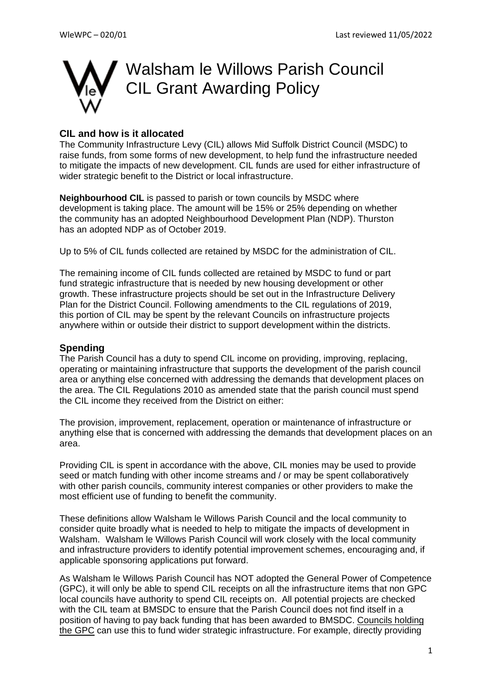

#### **CIL and how is it allocated**

The Community Infrastructure Levy (CIL) allows Mid Suffolk District Council (MSDC) to raise funds, from some forms of new development, to help fund the infrastructure needed to mitigate the impacts of new development. CIL funds are used for either infrastructure of wider strategic benefit to the District or local infrastructure.

**Neighbourhood CIL** is passed to parish or town councils by MSDC where development is taking place. The amount will be 15% or 25% depending on whether the community has an adopted Neighbourhood Development Plan (NDP). Thurston has an adopted NDP as of October 2019.

Up to 5% of CIL funds collected are retained by MSDC for the administration of CIL.

The remaining income of CIL funds collected are retained by MSDC to fund or part fund strategic infrastructure that is needed by new housing development or other growth. These infrastructure projects should be set out in the Infrastructure Delivery Plan for the District Council. Following amendments to the CIL regulations of 2019, this portion of CIL may be spent by the relevant Councils on infrastructure projects anywhere within or outside their district to support development within the districts.

#### **Spending**

The Parish Council has a duty to spend CIL income on providing, improving, replacing, operating or maintaining infrastructure that supports the development of the parish council area or anything else concerned with addressing the demands that development places on the area. The CIL Regulations 2010 as amended state that the parish council must spend the CIL income they received from the District on either:

The provision, improvement, replacement, operation or maintenance of infrastructure or anything else that is concerned with addressing the demands that development places on an area.

Providing CIL is spent in accordance with the above, CIL monies may be used to provide seed or match funding with other income streams and / or may be spent collaboratively with other parish councils, community interest companies or other providers to make the most efficient use of funding to benefit the community.

These definitions allow Walsham le Willows Parish Council and the local community to consider quite broadly what is needed to help to mitigate the impacts of development in Walsham. Walsham le Willows Parish Council will work closely with the local community and infrastructure providers to identify potential improvement schemes, encouraging and, if applicable sponsoring applications put forward.

As Walsham le Willows Parish Council has NOT adopted the General Power of Competence (GPC), it will only be able to spend CIL receipts on all the infrastructure items that non GPC local councils have authority to spend CIL receipts on. All potential projects are checked with the CIL team at BMSDC to ensure that the Parish Council does not find itself in a position of having to pay back funding that has been awarded to BMSDC. Councils holding the GPC can use this to fund wider strategic infrastructure. For example, directly providing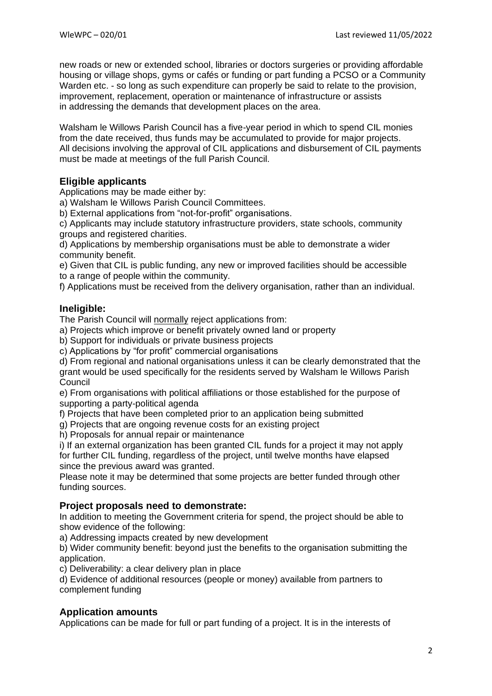new roads or new or extended school, libraries or doctors surgeries or providing affordable housing or village shops, gyms or cafés or funding or part funding a PCSO or a Community Warden etc. - so long as such expenditure can properly be said to relate to the provision, improvement, replacement, operation or maintenance of infrastructure or assists in addressing the demands that development places on the area.

Walsham le Willows Parish Council has a five-year period in which to spend CIL monies from the date received, thus funds may be accumulated to provide for major projects. All decisions involving the approval of CIL applications and disbursement of CIL payments must be made at meetings of the full Parish Council.

# **Eligible applicants**

Applications may be made either by:

a) Walsham le Willows Parish Council Committees.

b) External applications from "not-for-profit" organisations.

c) Applicants may include statutory infrastructure providers, state schools, community groups and registered charities.

d) Applications by membership organisations must be able to demonstrate a wider community benefit.

e) Given that CIL is public funding, any new or improved facilities should be accessible to a range of people within the community.

f) Applications must be received from the delivery organisation, rather than an individual.

## **Ineligible:**

The Parish Council will normally reject applications from:

a) Projects which improve or benefit privately owned land or property

b) Support for individuals or private business projects

c) Applications by "for profit" commercial organisations

d) From regional and national organisations unless it can be clearly demonstrated that the grant would be used specifically for the residents served by Walsham le Willows Parish **Council** 

e) From organisations with political affiliations or those established for the purpose of supporting a party-political agenda

f) Projects that have been completed prior to an application being submitted

g) Projects that are ongoing revenue costs for an existing project

h) Proposals for annual repair or maintenance

i) If an external organization has been granted CIL funds for a project it may not apply for further CIL funding, regardless of the project, until twelve months have elapsed since the previous award was granted.

Please note it may be determined that some projects are better funded through other funding sources.

## **Project proposals need to demonstrate:**

In addition to meeting the Government criteria for spend, the project should be able to show evidence of the following:

a) Addressing impacts created by new development

b) Wider community benefit: beyond just the benefits to the organisation submitting the application.

c) Deliverability: a clear delivery plan in place

d) Evidence of additional resources (people or money) available from partners to complement funding

## **Application amounts**

Applications can be made for full or part funding of a project. It is in the interests of